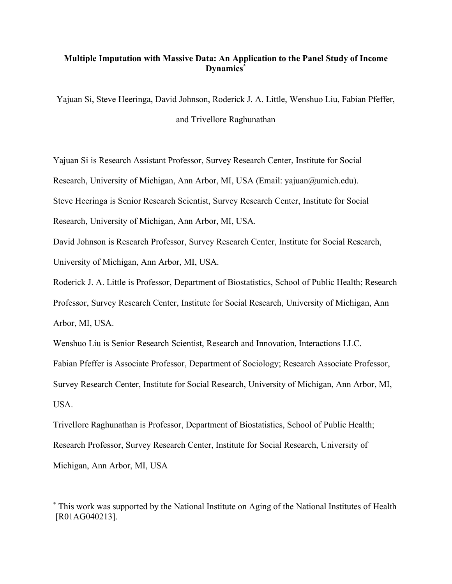# **Multiple Imputation with Massive Data: An Application to the Panel Study of Income Dynamics\***

Yajuan Si, Steve Heeringa, David Johnson, Roderick J. A. Little, Wenshuo Liu, Fabian Pfeffer, and Trivellore Raghunathan

Yajuan Si is Research Assistant Professor, Survey Research Center, Institute for Social Research, University of Michigan, Ann Arbor, MI, USA (Email: yajuan@umich.edu). Steve Heeringa is Senior Research Scientist, Survey Research Center, Institute for Social

Research, University of Michigan, Ann Arbor, MI, USA.

David Johnson is Research Professor, Survey Research Center, Institute for Social Research, University of Michigan, Ann Arbor, MI, USA.

Roderick J. A. Little is Professor, Department of Biostatistics, School of Public Health; Research Professor, Survey Research Center, Institute for Social Research, University of Michigan, Ann Arbor, MI, USA.

Wenshuo Liu is Senior Research Scientist, Research and Innovation, Interactions LLC. Fabian Pfeffer is Associate Professor, Department of Sociology; Research Associate Professor, Survey Research Center, Institute for Social Research, University of Michigan, Ann Arbor, MI, USA.

Trivellore Raghunathan is Professor, Department of Biostatistics, School of Public Health; Research Professor, Survey Research Center, Institute for Social Research, University of Michigan, Ann Arbor, MI, USA

 <sup>\*</sup> This work was supported by the National Institute on Aging of the National Institutes of Health [R01AG040213].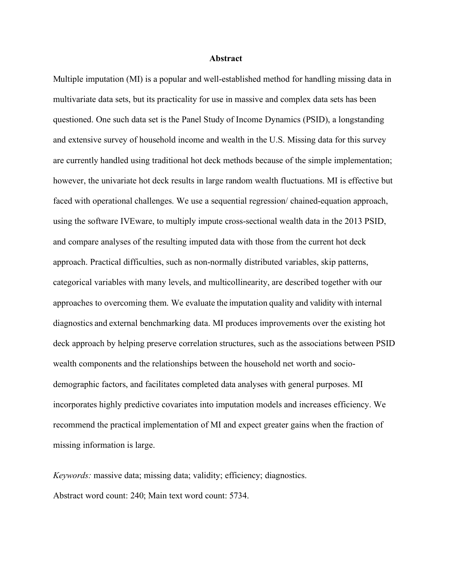#### **Abstract**

Multiple imputation (MI) is a popular and well-established method for handling missing data in multivariate data sets, but its practicality for use in massive and complex data sets has been questioned. One such data set is the Panel Study of Income Dynamics (PSID), a longstanding and extensive survey of household income and wealth in the U.S. Missing data for this survey are currently handled using traditional hot deck methods because of the simple implementation; however, the univariate hot deck results in large random wealth fluctuations. MI is effective but faced with operational challenges. We use a sequential regression/ chained-equation approach, using the software IVEware, to multiply impute cross-sectional wealth data in the 2013 PSID, and compare analyses of the resulting imputed data with those from the current hot deck approach. Practical difficulties, such as non-normally distributed variables, skip patterns, categorical variables with many levels, and multicollinearity, are described together with our approaches to overcoming them. We evaluate the imputation quality and validity with internal diagnostics and external benchmarking data. MI produces improvements over the existing hot deck approach by helping preserve correlation structures, such as the associations between PSID wealth components and the relationships between the household net worth and sociodemographic factors, and facilitates completed data analyses with general purposes. MI incorporates highly predictive covariates into imputation models and increases efficiency. We recommend the practical implementation of MI and expect greater gains when the fraction of missing information is large.

*Keywords:* massive data; missing data; validity; efficiency; diagnostics. Abstract word count: 240; Main text word count: 5734.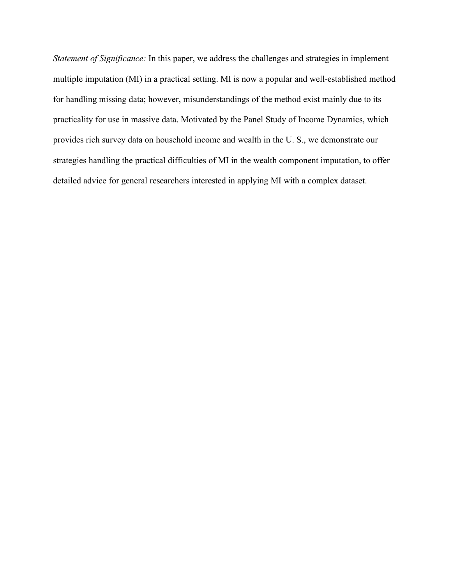*Statement of Significance:* In this paper, we address the challenges and strategies in implement multiple imputation (MI) in a practical setting. MI is now a popular and well-established method for handling missing data; however, misunderstandings of the method exist mainly due to its practicality for use in massive data. Motivated by the Panel Study of Income Dynamics, which provides rich survey data on household income and wealth in the U. S., we demonstrate our strategies handling the practical difficulties of MI in the wealth component imputation, to offer detailed advice for general researchers interested in applying MI with a complex dataset.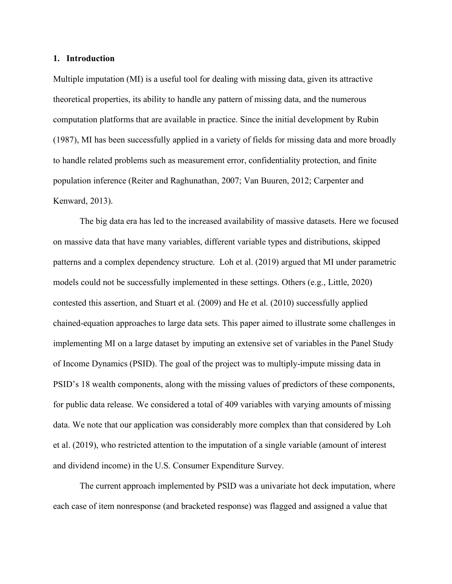#### **1. Introduction**

Multiple imputation (MI) is a useful tool for dealing with missing data, given its attractive theoretical properties, its ability to handle any pattern of missing data, and the numerous computation platforms that are available in practice. Since the initial development by Rubin (1987), MI has been successfully applied in a variety of fields for missing data and more broadly to handle related problems such as measurement error, confidentiality protection, and finite population inference (Reiter and Raghunathan, 2007; Van Buuren, 2012; Carpenter and Kenward, 2013).

The big data era has led to the increased availability of massive datasets. Here we focused on massive data that have many variables, different variable types and distributions, skipped patterns and a complex dependency structure. Loh et al. (2019) argued that MI under parametric models could not be successfully implemented in these settings. Others (e.g., Little, 2020) contested this assertion, and Stuart et al. (2009) and He et al. (2010) successfully applied chained-equation approaches to large data sets. This paper aimed to illustrate some challenges in implementing MI on a large dataset by imputing an extensive set of variables in the Panel Study of Income Dynamics (PSID). The goal of the project was to multiply-impute missing data in PSID's 18 wealth components, along with the missing values of predictors of these components, for public data release. We considered a total of 409 variables with varying amounts of missing data. We note that our application was considerably more complex than that considered by Loh et al. (2019), who restricted attention to the imputation of a single variable (amount of interest and dividend income) in the U.S. Consumer Expenditure Survey.

The current approach implemented by PSID was a univariate hot deck imputation, where each case of item nonresponse (and bracketed response) was flagged and assigned a value that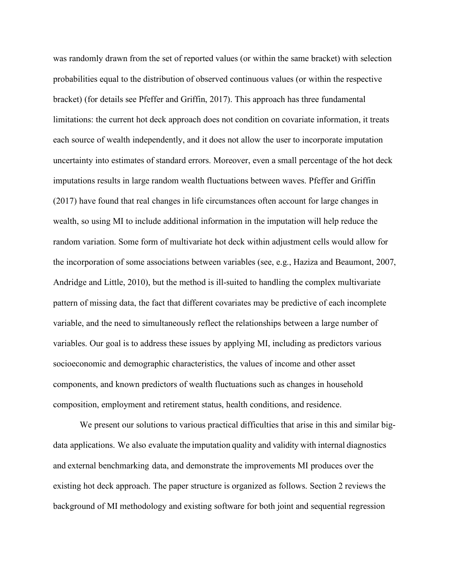was randomly drawn from the set of reported values (or within the same bracket) with selection probabilities equal to the distribution of observed continuous values (or within the respective bracket) (for details see Pfeffer and Griffin, 2017). This approach has three fundamental limitations: the current hot deck approach does not condition on covariate information, it treats each source of wealth independently, and it does not allow the user to incorporate imputation uncertainty into estimates of standard errors. Moreover, even a small percentage of the hot deck imputations results in large random wealth fluctuations between waves. Pfeffer and Griffin (2017) have found that real changes in life circumstances often account for large changes in wealth, so using MI to include additional information in the imputation will help reduce the random variation. Some form of multivariate hot deck within adjustment cells would allow for the incorporation of some associations between variables (see, e.g., Haziza and Beaumont, 2007, Andridge and Little, 2010), but the method is ill-suited to handling the complex multivariate pattern of missing data, the fact that different covariates may be predictive of each incomplete variable, and the need to simultaneously reflect the relationships between a large number of variables. Our goal is to address these issues by applying MI, including as predictors various socioeconomic and demographic characteristics, the values of income and other asset components, and known predictors of wealth fluctuations such as changes in household composition, employment and retirement status, health conditions, and residence.

We present our solutions to various practical difficulties that arise in this and similar bigdata applications. We also evaluate the imputation quality and validity with internal diagnostics and external benchmarking data, and demonstrate the improvements MI produces over the existing hot deck approach. The paper structure is organized as follows. Section 2 reviews the background of MI methodology and existing software for both joint and sequential regression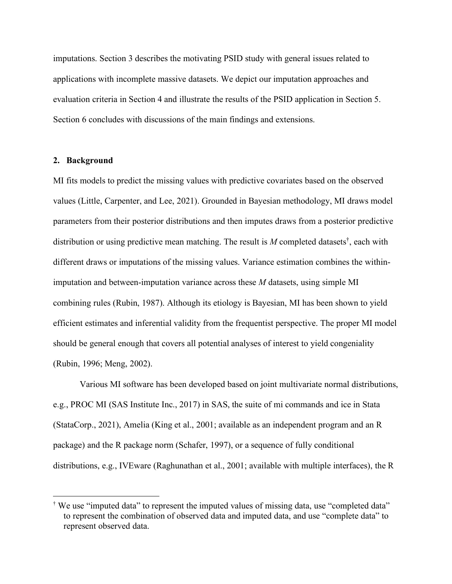imputations. Section 3 describes the motivating PSID study with general issues related to applications with incomplete massive datasets. We depict our imputation approaches and evaluation criteria in Section 4 and illustrate the results of the PSID application in Section 5. Section 6 concludes with discussions of the main findings and extensions.

## **2. Background**

MI fits models to predict the missing values with predictive covariates based on the observed values (Little, Carpenter, and Lee, 2021). Grounded in Bayesian methodology, MI draws model parameters from their posterior distributions and then imputes draws from a posterior predictive distribution or using predictive mean matching. The result is *M* completed datasets†, each with different draws or imputations of the missing values. Variance estimation combines the withinimputation and between-imputation variance across these *M* datasets, using simple MI combining rules (Rubin, 1987). Although its etiology is Bayesian, MI has been shown to yield efficient estimates and inferential validity from the frequentist perspective. The proper MI model should be general enough that covers all potential analyses of interest to yield congeniality (Rubin, 1996; Meng, 2002).

Various MI software has been developed based on joint multivariate normal distributions, e.g., PROC MI (SAS Institute Inc., 2017) in SAS, the suite of mi commands and ice in Stata (StataCorp., 2021), Amelia (King et al., 2001; available as an independent program and an R package) and the R package norm (Schafer, 1997), or a sequence of fully conditional distributions, e.g., IVEware (Raghunathan et al., 2001; available with multiple interfaces), the R

 <sup>†</sup> We use "imputed data" to represent the imputed values of missing data, use "completed data" to represent the combination of observed data and imputed data, and use "complete data" to represent observed data.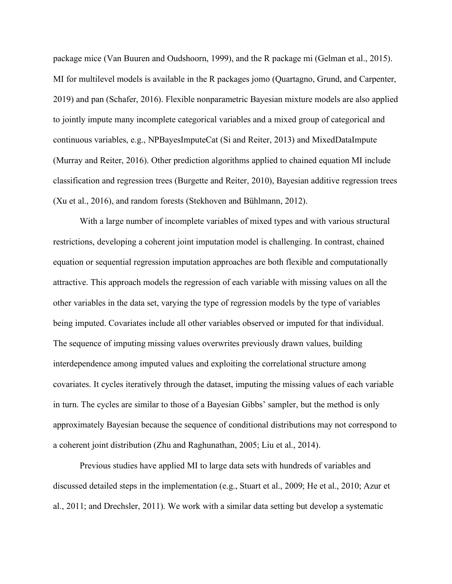package mice (Van Buuren and Oudshoorn, 1999), and the R package mi (Gelman et al., 2015). MI for multilevel models is available in the R packages jomo (Quartagno, Grund, and Carpenter, 2019) and pan (Schafer, 2016). Flexible nonparametric Bayesian mixture models are also applied to jointly impute many incomplete categorical variables and a mixed group of categorical and continuous variables, e.g., NPBayesImputeCat (Si and Reiter, 2013) and MixedDataImpute (Murray and Reiter, 2016). Other prediction algorithms applied to chained equation MI include classification and regression trees (Burgette and Reiter, 2010), Bayesian additive regression trees (Xu et al., 2016), and random forests (Stekhoven and Bühlmann, 2012).

With a large number of incomplete variables of mixed types and with various structural restrictions, developing a coherent joint imputation model is challenging. In contrast, chained equation or sequential regression imputation approaches are both flexible and computationally attractive. This approach models the regression of each variable with missing values on all the other variables in the data set, varying the type of regression models by the type of variables being imputed. Covariates include all other variables observed or imputed for that individual. The sequence of imputing missing values overwrites previously drawn values, building interdependence among imputed values and exploiting the correlational structure among covariates. It cycles iteratively through the dataset, imputing the missing values of each variable in turn. The cycles are similar to those of a Bayesian Gibbs' sampler, but the method is only approximately Bayesian because the sequence of conditional distributions may not correspond to a coherent joint distribution (Zhu and Raghunathan, 2005; Liu et al., 2014).

Previous studies have applied MI to large data sets with hundreds of variables and discussed detailed steps in the implementation (e.g., Stuart et al., 2009; He et al., 2010; Azur et al., 2011; and Drechsler, 2011). We work with a similar data setting but develop a systematic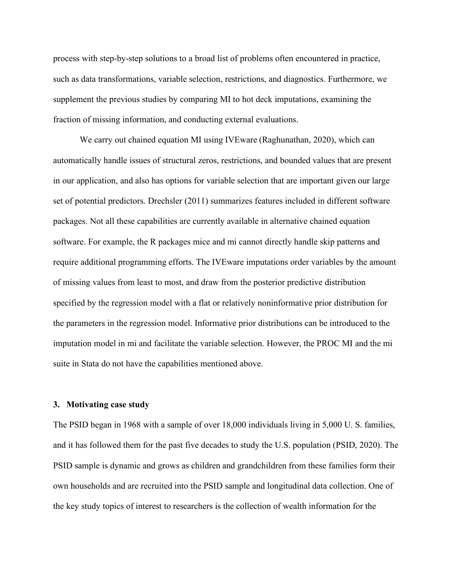process with step-by-step solutions to a broad list of problems often encountered in practice, such as data transformations, variable selection, restrictions, and diagnostics. Furthermore, we supplement the previous studies by comparing MI to hot deck imputations, examining the fraction of missing information, and conducting external evaluations.

We carry out chained equation MI using IVEware (Raghunathan, 2020), which can automatically handle issues of structural zeros, restrictions, and bounded values that are present in our application, and also has options for variable selection that are important given our large set of potential predictors. Drechsler (2011) summarizes features included in different software packages. Not all these capabilities are currently available in alternative chained equation software. For example, the R packages mice and mi cannot directly handle skip patterns and require additional programming efforts. The IVEware imputations order variables by the amount of missing values from least to most, and draw from the posterior predictive distribution specified by the regression model with a flat or relatively noninformative prior distribution for the parameters in the regression model. Informative prior distributions can be introduced to the imputation model in mi and facilitate the variable selection. However, the PROC MI and the mi suite in Stata do not have the capabilities mentioned above.

#### **3. Motivating case study**

The PSID began in 1968 with a sample of over 18,000 individuals living in 5,000 U. S. families, and it has followed them for the past five decades to study the U.S. population (PSID, 2020). The PSID sample is dynamic and grows as children and grandchildren from these families form their own households and are recruited into the PSID sample and longitudinal data collection. One of the key study topics of interest to researchers is the collection of wealth information for the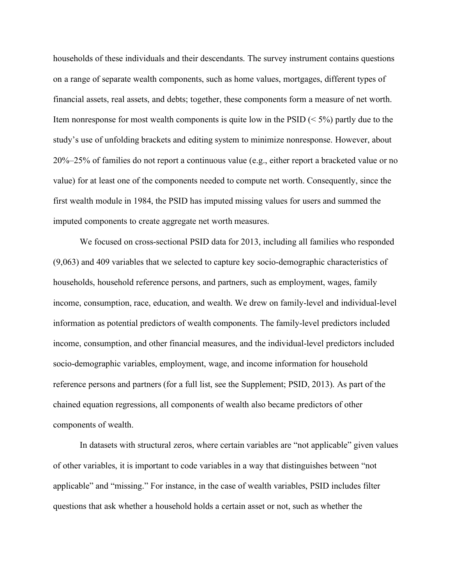households of these individuals and their descendants. The survey instrument contains questions on a range of separate wealth components, such as home values, mortgages, different types of financial assets, real assets, and debts; together, these components form a measure of net worth. Item nonresponse for most wealth components is quite low in the  $PSID \leq 5\%$ ) partly due to the study's use of unfolding brackets and editing system to minimize nonresponse. However, about 20%–25% of families do not report a continuous value (e.g., either report a bracketed value or no value) for at least one of the components needed to compute net worth. Consequently, since the first wealth module in 1984, the PSID has imputed missing values for users and summed the imputed components to create aggregate net worth measures.

We focused on cross-sectional PSID data for 2013, including all families who responded (9,063) and 409 variables that we selected to capture key socio-demographic characteristics of households, household reference persons, and partners, such as employment, wages, family income, consumption, race, education, and wealth. We drew on family-level and individual-level information as potential predictors of wealth components. The family-level predictors included income, consumption, and other financial measures, and the individual-level predictors included socio-demographic variables, employment, wage, and income information for household reference persons and partners (for a full list, see the Supplement; PSID, 2013). As part of the chained equation regressions, all components of wealth also became predictors of other components of wealth.

In datasets with structural zeros, where certain variables are "not applicable" given values of other variables, it is important to code variables in a way that distinguishes between "not applicable" and "missing." For instance, in the case of wealth variables, PSID includes filter questions that ask whether a household holds a certain asset or not, such as whether the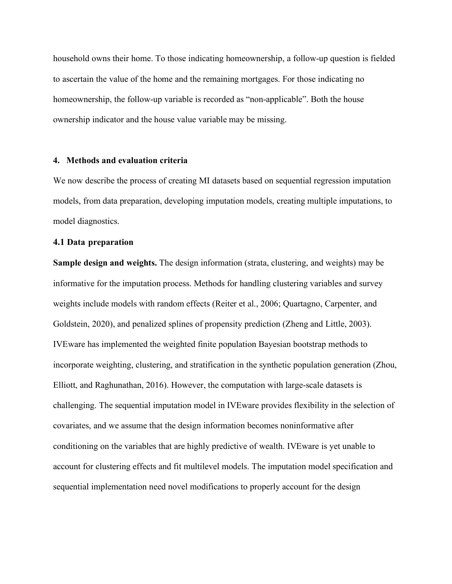household owns their home. To those indicating homeownership, a follow-up question is fielded to ascertain the value of the home and the remaining mortgages. For those indicating no homeownership, the follow-up variable is recorded as "non-applicable". Both the house ownership indicator and the house value variable may be missing.

#### **4. Methods and evaluation criteria**

We now describe the process of creating MI datasets based on sequential regression imputation models, from data preparation, developing imputation models, creating multiple imputations, to model diagnostics.

## **4.1 Data preparation**

**Sample design and weights.** The design information (strata, clustering, and weights) may be informative for the imputation process. Methods for handling clustering variables and survey weights include models with random effects (Reiter et al., 2006; Quartagno, Carpenter, and Goldstein, 2020), and penalized splines of propensity prediction (Zheng and Little, 2003). IVEware has implemented the weighted finite population Bayesian bootstrap methods to incorporate weighting, clustering, and stratification in the synthetic population generation (Zhou, Elliott, and Raghunathan, 2016). However, the computation with large-scale datasets is challenging. The sequential imputation model in IVEware provides flexibility in the selection of covariates, and we assume that the design information becomes noninformative after conditioning on the variables that are highly predictive of wealth. IVEware is yet unable to account for clustering effects and fit multilevel models. The imputation model specification and sequential implementation need novel modifications to properly account for the design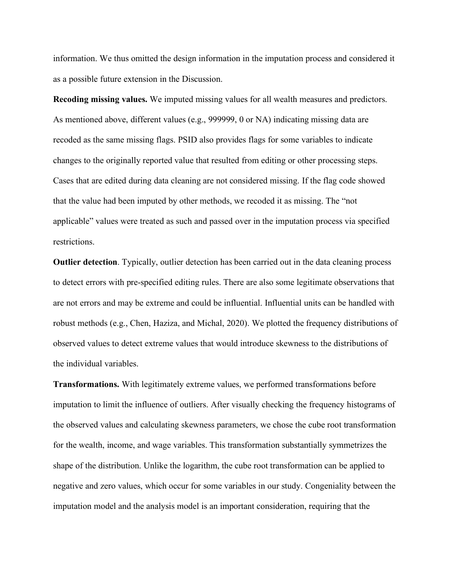information. We thus omitted the design information in the imputation process and considered it as a possible future extension in the Discussion.

**Recoding missing values.** We imputed missing values for all wealth measures and predictors. As mentioned above, different values (e.g., 999999, 0 or NA) indicating missing data are recoded as the same missing flags. PSID also provides flags for some variables to indicate changes to the originally reported value that resulted from editing or other processing steps. Cases that are edited during data cleaning are not considered missing. If the flag code showed that the value had been imputed by other methods, we recoded it as missing. The "not applicable" values were treated as such and passed over in the imputation process via specified restrictions.

**Outlier detection**. Typically, outlier detection has been carried out in the data cleaning process to detect errors with pre-specified editing rules. There are also some legitimate observations that are not errors and may be extreme and could be influential. Influential units can be handled with robust methods (e.g., Chen, Haziza, and Michal, 2020). We plotted the frequency distributions of observed values to detect extreme values that would introduce skewness to the distributions of the individual variables.

**Transformations.** With legitimately extreme values, we performed transformations before imputation to limit the influence of outliers. After visually checking the frequency histograms of the observed values and calculating skewness parameters, we chose the cube root transformation for the wealth, income, and wage variables. This transformation substantially symmetrizes the shape of the distribution. Unlike the logarithm, the cube root transformation can be applied to negative and zero values, which occur for some variables in our study. Congeniality between the imputation model and the analysis model is an important consideration, requiring that the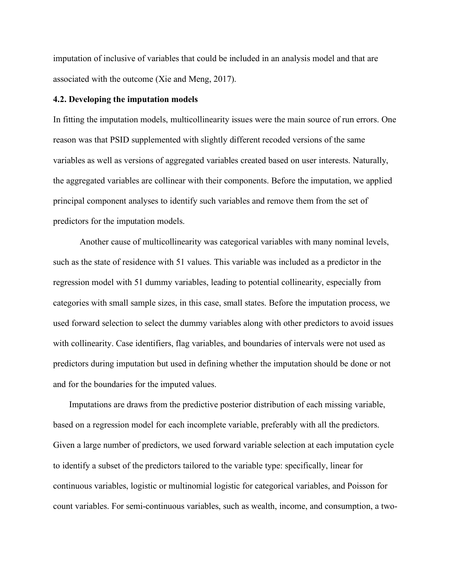imputation of inclusive of variables that could be included in an analysis model and that are associated with the outcome (Xie and Meng, 2017).

### **4.2. Developing the imputation models**

In fitting the imputation models, multicollinearity issues were the main source of run errors. One reason was that PSID supplemented with slightly different recoded versions of the same variables as well as versions of aggregated variables created based on user interests. Naturally, the aggregated variables are collinear with their components. Before the imputation, we applied principal component analyses to identify such variables and remove them from the set of predictors for the imputation models.

Another cause of multicollinearity was categorical variables with many nominal levels, such as the state of residence with 51 values. This variable was included as a predictor in the regression model with 51 dummy variables, leading to potential collinearity, especially from categories with small sample sizes, in this case, small states. Before the imputation process, we used forward selection to select the dummy variables along with other predictors to avoid issues with collinearity. Case identifiers, flag variables, and boundaries of intervals were not used as predictors during imputation but used in defining whether the imputation should be done or not and for the boundaries for the imputed values.

Imputations are draws from the predictive posterior distribution of each missing variable, based on a regression model for each incomplete variable, preferably with all the predictors. Given a large number of predictors, we used forward variable selection at each imputation cycle to identify a subset of the predictors tailored to the variable type: specifically, linear for continuous variables, logistic or multinomial logistic for categorical variables, and Poisson for count variables. For semi-continuous variables, such as wealth, income, and consumption, a two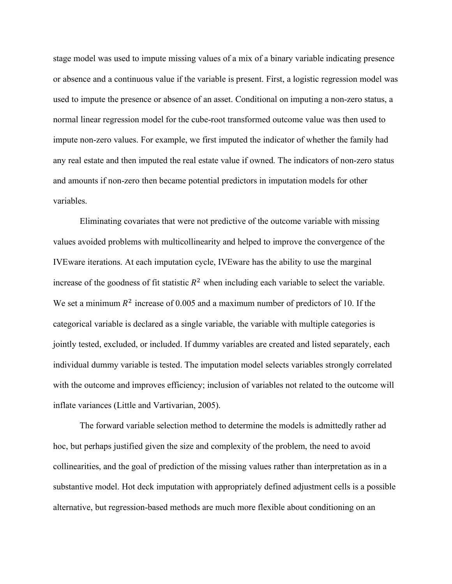stage model was used to impute missing values of a mix of a binary variable indicating presence or absence and a continuous value if the variable is present. First, a logistic regression model was used to impute the presence or absence of an asset. Conditional on imputing a non-zero status, a normal linear regression model for the cube-root transformed outcome value was then used to impute non-zero values. For example, we first imputed the indicator of whether the family had any real estate and then imputed the real estate value if owned. The indicators of non-zero status and amounts if non-zero then became potential predictors in imputation models for other variables.

Eliminating covariates that were not predictive of the outcome variable with missing values avoided problems with multicollinearity and helped to improve the convergence of the IVEware iterations. At each imputation cycle, IVEware has the ability to use the marginal increase of the goodness of fit statistic  $R^2$  when including each variable to select the variable. We set a minimum  $R^2$  increase of 0.005 and a maximum number of predictors of 10. If the categorical variable is declared as a single variable, the variable with multiple categories is jointly tested, excluded, or included. If dummy variables are created and listed separately, each individual dummy variable is tested. The imputation model selects variables strongly correlated with the outcome and improves efficiency; inclusion of variables not related to the outcome will inflate variances (Little and Vartivarian, 2005).

The forward variable selection method to determine the models is admittedly rather ad hoc, but perhaps justified given the size and complexity of the problem, the need to avoid collinearities, and the goal of prediction of the missing values rather than interpretation as in a substantive model. Hot deck imputation with appropriately defined adjustment cells is a possible alternative, but regression-based methods are much more flexible about conditioning on an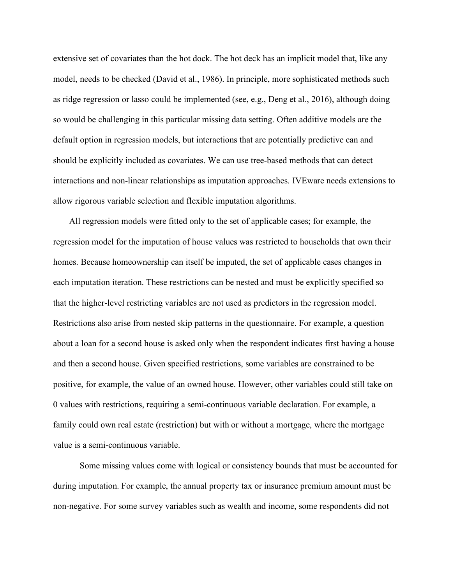extensive set of covariates than the hot dock. The hot deck has an implicit model that, like any model, needs to be checked (David et al., 1986). In principle, more sophisticated methods such as ridge regression or lasso could be implemented (see, e.g., Deng et al., 2016), although doing so would be challenging in this particular missing data setting. Often additive models are the default option in regression models, but interactions that are potentially predictive can and should be explicitly included as covariates. We can use tree-based methods that can detect interactions and non-linear relationships as imputation approaches. IVEware needs extensions to allow rigorous variable selection and flexible imputation algorithms.

All regression models were fitted only to the set of applicable cases; for example, the regression model for the imputation of house values was restricted to households that own their homes. Because homeownership can itself be imputed, the set of applicable cases changes in each imputation iteration. These restrictions can be nested and must be explicitly specified so that the higher-level restricting variables are not used as predictors in the regression model. Restrictions also arise from nested skip patterns in the questionnaire. For example, a question about a loan for a second house is asked only when the respondent indicates first having a house and then a second house. Given specified restrictions, some variables are constrained to be positive, for example, the value of an owned house. However, other variables could still take on 0 values with restrictions, requiring a semi-continuous variable declaration. For example, a family could own real estate (restriction) but with or without a mortgage, where the mortgage value is a semi-continuous variable.

Some missing values come with logical or consistency bounds that must be accounted for during imputation. For example, the annual property tax or insurance premium amount must be non-negative. For some survey variables such as wealth and income, some respondents did not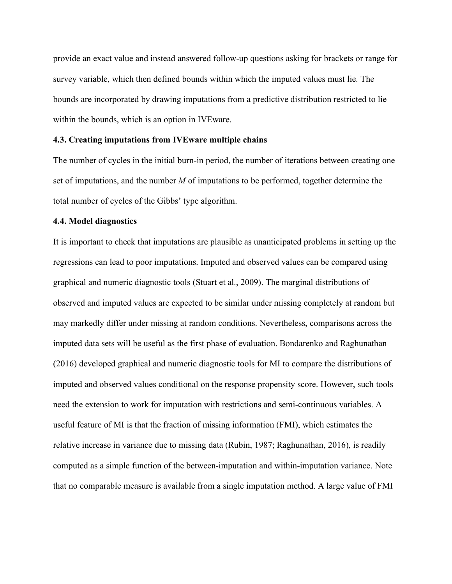provide an exact value and instead answered follow-up questions asking for brackets or range for survey variable, which then defined bounds within which the imputed values must lie. The bounds are incorporated by drawing imputations from a predictive distribution restricted to lie within the bounds, which is an option in IVEware.

#### **4.3. Creating imputations from IVEware multiple chains**

The number of cycles in the initial burn-in period, the number of iterations between creating one set of imputations, and the number *M* of imputations to be performed, together determine the total number of cycles of the Gibbs' type algorithm.

#### **4.4. Model diagnostics**

It is important to check that imputations are plausible as unanticipated problems in setting up the regressions can lead to poor imputations. Imputed and observed values can be compared using graphical and numeric diagnostic tools (Stuart et al., 2009). The marginal distributions of observed and imputed values are expected to be similar under missing completely at random but may markedly differ under missing at random conditions. Nevertheless, comparisons across the imputed data sets will be useful as the first phase of evaluation. Bondarenko and Raghunathan (2016) developed graphical and numeric diagnostic tools for MI to compare the distributions of imputed and observed values conditional on the response propensity score. However, such tools need the extension to work for imputation with restrictions and semi-continuous variables. A useful feature of MI is that the fraction of missing information (FMI), which estimates the relative increase in variance due to missing data (Rubin, 1987; Raghunathan, 2016), is readily computed as a simple function of the between-imputation and within-imputation variance. Note that no comparable measure is available from a single imputation method. A large value of FMI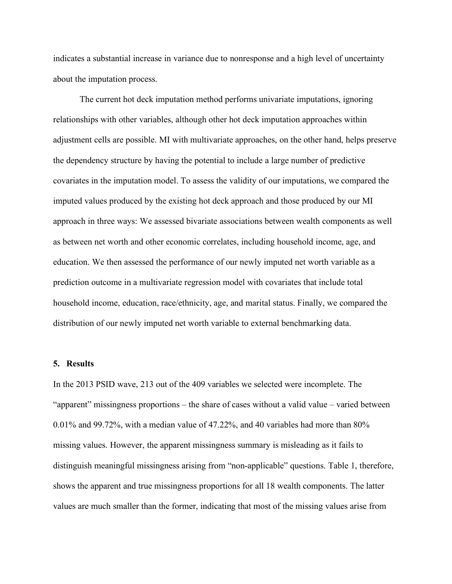indicates a substantial increase in variance due to nonresponse and a high level of uncertainty about the imputation process.

The current hot deck imputation method performs univariate imputations, ignoring relationships with other variables, although other hot deck imputation approaches within adjustment cells are possible. MI with multivariate approaches, on the other hand, helps preserve the dependency structure by having the potential to include a large number of predictive covariates in the imputation model. To assess the validity of our imputations, we compared the imputed values produced by the existing hot deck approach and those produced by our MI approach in three ways: We assessed bivariate associations between wealth components as well as between net worth and other economic correlates, including household income, age, and education. We then assessed the performance of our newly imputed net worth variable as a prediction outcome in a multivariate regression model with covariates that include total household income, education, race/ethnicity, age, and marital status. Finally, we compared the distribution of our newly imputed net worth variable to external benchmarking data.

#### **5. Results**

In the 2013 PSID wave, 213 out of the 409 variables we selected were incomplete. The "apparent" missingness proportions – the share of cases without a valid value – varied between 0.01% and 99.72%, with a median value of 47.22%, and 40 variables had more than 80% missing values. However, the apparent missingness summary is misleading as it fails to distinguish meaningful missingness arising from "non-applicable" questions. Table 1, therefore, shows the apparent and true missingness proportions for all 18 wealth components. The latter values are much smaller than the former, indicating that most of the missing values arise from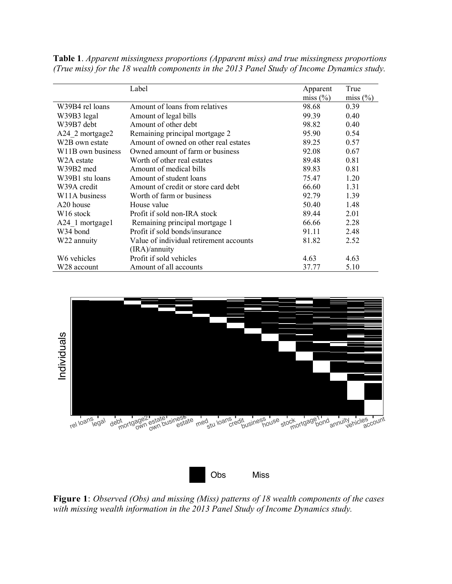|                                | Label                                   | Apparent     | True         |
|--------------------------------|-----------------------------------------|--------------|--------------|
|                                |                                         | miss $(\% )$ | miss $(\% )$ |
| W39B4 rel loans                | Amount of loans from relatives          | 98.68        | 0.39         |
| W39B3 legal                    | Amount of legal bills                   | 99.39        | 0.40         |
| W39B7 debt                     | Amount of other debt                    | 98.82        | 0.40         |
| A24 2 mortgage2                | Remaining principal mortgage 2          | 95.90        | 0.54         |
| W <sub>2</sub> B own estate    | Amount of owned on other real estates   | 89.25        | 0.57         |
| W <sub>11</sub> B own business | Owned amount of farm or business        | 92.08        | 0.67         |
| W <sub>2</sub> A estate        | Worth of other real estates             | 89.48        | 0.81         |
| W39B2 med                      | Amount of medical bills                 | 89.83        | 0.81         |
| W39B1 stu loans                | Amount of student loans                 | 75.47        | 1.20         |
| W39A credit                    | Amount of credit or store card debt     | 66.60        | 1.31         |
| W11A business                  | Worth of farm or business               | 92.79        | 1.39         |
| A <sub>20</sub> house          | House value                             | 50.40        | 1.48         |
| W <sub>16</sub> stock          | Profit if sold non-IRA stock            | 89.44        | 2.01         |
| A24 1 mortgage1                | Remaining principal mortgage 1          | 66.66        | 2.28         |
| W34 bond                       | Profit if sold bonds/insurance          | 91.11        | 2.48         |
| W22 annuity                    | Value of individual retirement accounts | 81.82        | 2.52         |
|                                | (IRA)/annuity                           |              |              |
| W6 vehicles                    | Profit if sold vehicles                 | 4.63         | 4.63         |
| W28 account                    | Amount of all accounts                  | 37.77        | 5.10         |

**Table 1**. *Apparent missingness proportions (Apparent miss) and true missingness proportions (True miss) for the 18 wealth components in the 2013 Panel Study of Income Dynamics study.*





**Figure 1**: *Observed (Obs) and missing (Miss) patterns of 18 wealth components of the cases with missing wealth information in the 2013 Panel Study of Income Dynamics study.*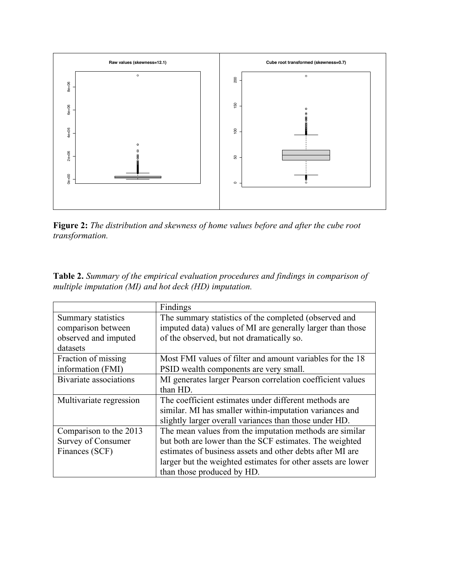

**Figure 2:** *The distribution and skewness of home values before and after the cube root transformation.*

**Table 2.** *Summary of the empirical evaluation procedures and findings in comparison of multiple imputation (MI) and hot deck (HD) imputation.*

|                         | Findings                                                     |
|-------------------------|--------------------------------------------------------------|
| Summary statistics      | The summary statistics of the completed (observed and        |
| comparison between      | imputed data) values of MI are generally larger than those   |
| observed and imputed    | of the observed, but not dramatically so.                    |
| datasets                |                                                              |
| Fraction of missing     | Most FMI values of filter and amount variables for the 18    |
| information (FMI)       | PSID wealth components are very small.                       |
| Bivariate associations  | MI generates larger Pearson correlation coefficient values   |
|                         | than HD.                                                     |
| Multivariate regression | The coefficient estimates under different methods are        |
|                         | similar. MI has smaller within-imputation variances and      |
|                         | slightly larger overall variances than those under HD.       |
| Comparison to the 2013  | The mean values from the imputation methods are similar      |
| Survey of Consumer      | but both are lower than the SCF estimates. The weighted      |
| Finances (SCF)          | estimates of business assets and other debts after MI are    |
|                         | larger but the weighted estimates for other assets are lower |
|                         | than those produced by HD.                                   |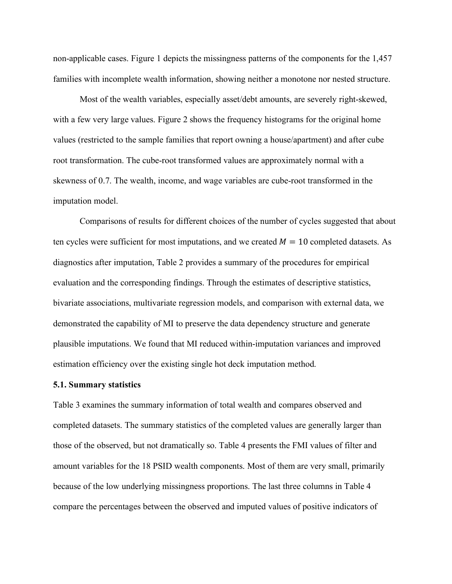non-applicable cases. Figure 1 depicts the missingness patterns of the components for the 1,457 families with incomplete wealth information, showing neither a monotone nor nested structure.

Most of the wealth variables, especially asset/debt amounts, are severely right-skewed, with a few very large values. Figure 2 shows the frequency histograms for the original home values (restricted to the sample families that report owning a house/apartment) and after cube root transformation. The cube-root transformed values are approximately normal with a skewness of 0.7. The wealth, income, and wage variables are cube-root transformed in the imputation model.

Comparisons of results for different choices of the number of cycles suggested that about ten cycles were sufficient for most imputations, and we created  $M = 10$  completed datasets. As diagnostics after imputation, Table 2 provides a summary of the procedures for empirical evaluation and the corresponding findings. Through the estimates of descriptive statistics, bivariate associations, multivariate regression models, and comparison with external data, we demonstrated the capability of MI to preserve the data dependency structure and generate plausible imputations. We found that MI reduced within-imputation variances and improved estimation efficiency over the existing single hot deck imputation method.

#### **5.1. Summary statistics**

Table 3 examines the summary information of total wealth and compares observed and completed datasets. The summary statistics of the completed values are generally larger than those of the observed, but not dramatically so. Table 4 presents the FMI values of filter and amount variables for the 18 PSID wealth components. Most of them are very small, primarily because of the low underlying missingness proportions. The last three columns in Table 4 compare the percentages between the observed and imputed values of positive indicators of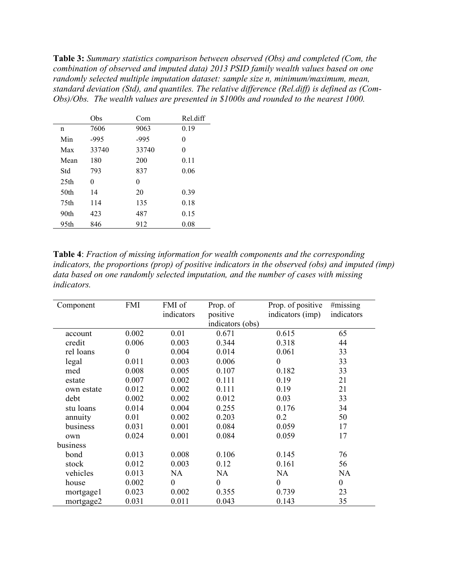**Table 3:** *Summary statistics comparison between observed (Obs) and completed (Com, the combination of observed and imputed data) 2013 PSID family wealth values based on one randomly selected multiple imputation dataset: sample size n, minimum/maximum, mean, standard deviation (Std), and quantiles. The relative difference (Rel.diff) is defined as (Com-Obs)/Obs. The wealth values are presented in \$1000s and rounded to the nearest 1000.*

|                  | Obs    | Com    | Rel.diff |
|------------------|--------|--------|----------|
| n                | 7606   | 9063   | 0.19     |
| Min              | $-995$ | $-995$ | 0        |
| Max              | 33740  | 33740  | 0        |
| Mean             | 180    | 200    | 0.11     |
| Std              | 793    | 837    | 0.06     |
| 25 <sub>th</sub> | 0      | 0      |          |
| 50th             | 14     | 20     | 0.39     |
| 75th             | 114    | 135    | 0.18     |
| 90th             | 423    | 487    | 0.15     |
| 95th             | 846    | 912    | 0.08     |

**Table 4**: *Fraction of missing information for wealth components and the corresponding indicators, the proportions (prop) of positive indicators in the observed (obs) and imputed (imp) data based on one randomly selected imputation, and the number of cases with missing indicators.*

| Component  | FMI      | FMI of<br>indicators | Prop. of<br>positive | Prop. of positive<br>indicators (imp) | #missing<br>indicators |
|------------|----------|----------------------|----------------------|---------------------------------------|------------------------|
|            |          |                      | indicators (obs)     |                                       |                        |
| account    | 0.002    | 0.01                 | 0.671                | 0.615                                 | 65                     |
| credit     | 0.006    | 0.003                | 0.344                | 0.318                                 | 44                     |
| rel loans  | $\theta$ | 0.004                | 0.014                | 0.061                                 | 33                     |
| legal      | 0.011    | 0.003                | 0.006                | $\theta$                              | 33                     |
| med        | 0.008    | 0.005                | 0.107                | 0.182                                 | 33                     |
| estate     | 0.007    | 0.002                | 0.111                | 0.19                                  | 21                     |
| own estate | 0.012    | 0.002                | 0.111                | 0.19                                  | 21                     |
| debt       | 0.002    | 0.002                | 0.012                | 0.03                                  | 33                     |
| stu loans  | 0.014    | 0.004                | 0.255                | 0.176                                 | 34                     |
| annuity    | 0.01     | 0.002                | 0.203                | 0.2                                   | 50                     |
| business   | 0.031    | 0.001                | 0.084                | 0.059                                 | 17                     |
| own        | 0.024    | 0.001                | 0.084                | 0.059                                 | 17                     |
| business   |          |                      |                      |                                       |                        |
| bond       | 0.013    | 0.008                | 0.106                | 0.145                                 | 76                     |
| stock      | 0.012    | 0.003                | 0.12                 | 0.161                                 | 56                     |
| vehicles   | 0.013    | <b>NA</b>            | <b>NA</b>            | NA                                    | <b>NA</b>              |
| house      | 0.002    | $\overline{0}$       | $\boldsymbol{0}$     | $\theta$                              | $\boldsymbol{0}$       |
| mortgage1  | 0.023    | 0.002                | 0.355                | 0.739                                 | 23                     |
| mortgage2  | 0.031    | 0.011                | 0.043                | 0.143                                 | 35                     |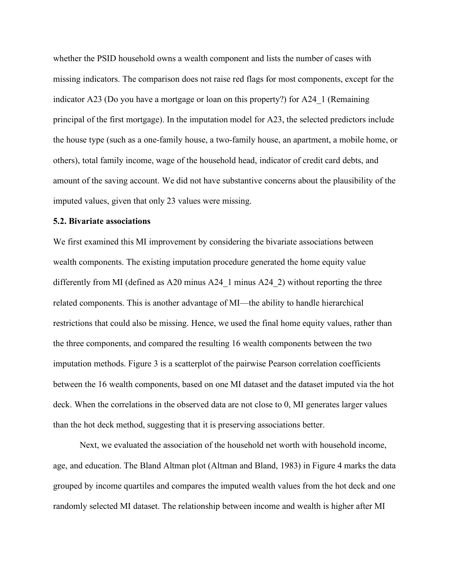whether the PSID household owns a wealth component and lists the number of cases with missing indicators. The comparison does not raise red flags for most components, except for the indicator A23 (Do you have a mortgage or loan on this property?) for A24\_1 (Remaining principal of the first mortgage). In the imputation model for A23, the selected predictors include the house type (such as a one-family house, a two-family house, an apartment, a mobile home, or others), total family income, wage of the household head, indicator of credit card debts, and amount of the saving account. We did not have substantive concerns about the plausibility of the imputed values, given that only 23 values were missing.

## **5.2. Bivariate associations**

We first examined this MI improvement by considering the bivariate associations between wealth components. The existing imputation procedure generated the home equity value differently from MI (defined as A20 minus A24\_1 minus A24\_2) without reporting the three related components. This is another advantage of MI—the ability to handle hierarchical restrictions that could also be missing. Hence, we used the final home equity values, rather than the three components, and compared the resulting 16 wealth components between the two imputation methods. Figure 3 is a scatterplot of the pairwise Pearson correlation coefficients between the 16 wealth components, based on one MI dataset and the dataset imputed via the hot deck. When the correlations in the observed data are not close to 0, MI generates larger values than the hot deck method, suggesting that it is preserving associations better.

Next, we evaluated the association of the household net worth with household income, age, and education. The Bland Altman plot (Altman and Bland, 1983) in Figure 4 marks the data grouped by income quartiles and compares the imputed wealth values from the hot deck and one randomly selected MI dataset. The relationship between income and wealth is higher after MI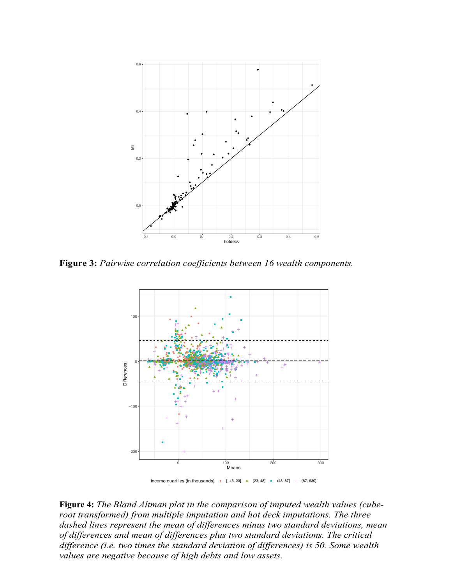

**Figure 3:** *Pairwise correlation coefficients between 16 wealth components.*



**Figure 4:** *The Bland Altman plot in the comparison of imputed wealth values (cuberoot transformed) from multiple imputation and hot deck imputations. The three dashed lines represent the mean of differences minus two standard deviations, mean of differences and mean of differences plus two standard deviations. The critical difference (i.e. two times the standard deviation of differences) is 50. Some wealth values are negative because of high debts and low assets.*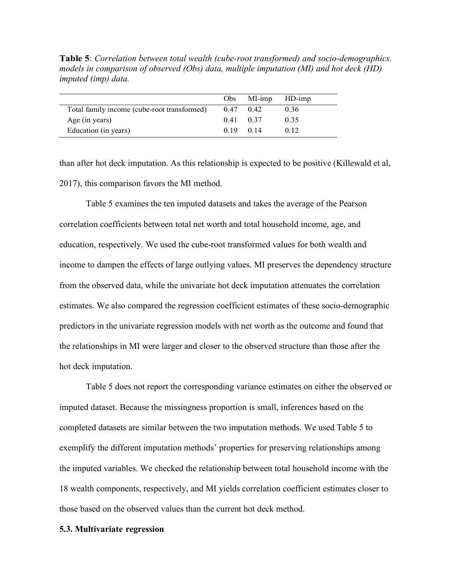**Table 5**: *Correlation between total wealth (cube-root transformed) and socio-demographics. models in comparison of observed (Obs) data, multiple imputation (MI) and hot deck (HD) imputed (imp) data.*

|                                             |           | $Obs$ MI-imp HD-imp |      |
|---------------------------------------------|-----------|---------------------|------|
| Total family income (cube-root transformed) |           | $0.47 \quad 0.42$   | 0.36 |
| Age (in years)                              | 0.41 0.37 |                     | 0.35 |
| Education (in years)                        | 0.19 0.14 |                     | 0.12 |

than after hot deck imputation. As this relationship is expected to be positive (Killewald et al, 2017), this comparison favors the MI method.

Table 5 examines the ten imputed datasets and takes the average of the Pearson correlation coefficients between total net worth and total household income, age, and education, respectively. We used the cube-root transformed values for both wealth and income to dampen the effects of large outlying values. MI preserves the dependency structure from the observed data, while the univariate hot deck imputation attenuates the correlation estimates. We also compared the regression coefficient estimates of these socio-demographic predictors in the univariate regression models with net worth as the outcome and found that the relationships in MI were larger and closer to the observed structure than those after the hot deck imputation.

Table 5 does not report the corresponding variance estimates on either the observed or imputed dataset. Because the missingness proportion is small, inferences based on the completed datasets are similar between the two imputation methods. We used Table 5 to exemplify the different imputation methods' properties for preserving relationships among the imputed variables. We checked the relationship between total household income with the 18 wealth components, respectively, and MI yields correlation coefficient estimates closer to those based on the observed values than the current hot deck method.

#### **5.3. Multivariate regression**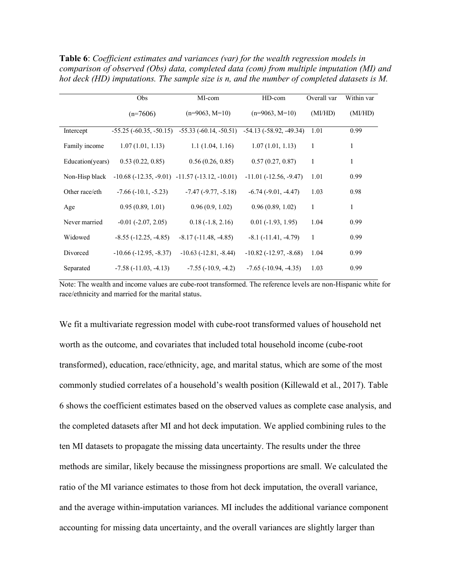**Table 6**: *Coefficient estimates and variances (var) for the wealth regression models in comparison of observed (Obs) data, completed data (com) from multiple imputation (MI) and hot deck (HD) imputations. The sample size is n, and the number of completed datasets is M.*

|                  | Obs                             | MI-com                                                            | HD-com                          | Overall var | Within var |
|------------------|---------------------------------|-------------------------------------------------------------------|---------------------------------|-------------|------------|
|                  | $(n=7606)$                      | $(n=9063, M=10)$                                                  | $(n=9063, M=10)$                | (MI/HD)     | (MI/HD)    |
| Intercept        |                                 | $-55.25$ ( $-60.35$ , $-50.15$ ) $-55.33$ ( $-60.14$ , $-50.51$ ) | $-54.13(-58.92, -49.34)$        | 1.01        | 0.99       |
| Family income    | 1.07(1.01, 1.13)                | 1.1(1.04, 1.16)                                                   | 1.07(1.01, 1.13)                | 1           | 1          |
| Education(years) | 0.53(0.22, 0.85)                | 0.56(0.26, 0.85)                                                  | 0.57(0.27, 0.87)                | 1           | 1          |
| Non-Hisp black   |                                 | $-10.68(-12.35, -9.01) -11.57(-13.12, -10.01)$                    | $-11.01$ ( $-12.56$ , $-9.47$ ) | 1.01        | 0.99       |
| Other race/eth   | $-7.66(-10.1, -5.23)$           | $-7.47$ $(-9.77, -5.18)$                                          | $-6.74$ $(-9.01, -4.47)$        | 1.03        | 0.98       |
| Age              | 0.95(0.89, 1.01)                | 0.96(0.9, 1.02)                                                   | 0.96(0.89, 1.02)                | 1           | 1          |
| Never married    | $-0.01$ $(-2.07, 2.05)$         | $0.18(-1.8, 2.16)$                                                | $0.01 (-1.93, 1.95)$            | 1.04        | 0.99       |
| Widowed          | $-8.55(-12.25, -4.85)$          | $-8.17(-11.48, -4.85)$                                            | $-8.1(-11.41, -4.79)$           | 1           | 0.99       |
| Divorced         | $-10.66$ ( $-12.95$ , $-8.37$ ) | $-10.63$ $(-12.81, -8.44)$                                        | $-10.82$ ( $-12.97$ , $-8.68$ ) | 1.04        | 0.99       |
| Separated        | $-7.58(-11.03, -4.13)$          | $-7.55(-10.9, -4.2)$                                              | $-7.65(-10.94, -4.35)$          | 1.03        | 0.99       |

Note: The wealth and income values are cube-root transformed. The reference levels are non-Hispanic white for race/ethnicity and married for the marital status.

We fit a multivariate regression model with cube-root transformed values of household net worth as the outcome, and covariates that included total household income (cube-root transformed), education, race/ethnicity, age, and marital status, which are some of the most commonly studied correlates of a household's wealth position (Killewald et al., 2017). Table 6 shows the coefficient estimates based on the observed values as complete case analysis, and the completed datasets after MI and hot deck imputation. We applied combining rules to the ten MI datasets to propagate the missing data uncertainty. The results under the three methods are similar, likely because the missingness proportions are small. We calculated the ratio of the MI variance estimates to those from hot deck imputation, the overall variance, and the average within-imputation variances. MI includes the additional variance component accounting for missing data uncertainty, and the overall variances are slightly larger than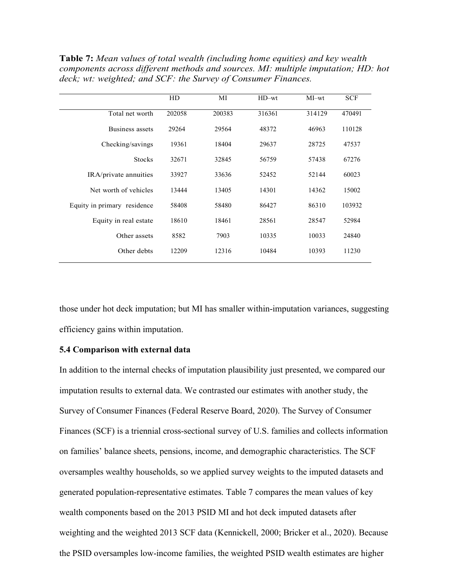**Table 7:** *Mean values of total wealth (including home equities) and key wealth components across different methods and sources. MI: multiple imputation; HD: hot deck; wt: weighted; and SCF: the Survey of Consumer Finances.*

|                             | HD     | MI     | $HD$ -wt | MI-wt  | <b>SCF</b> |
|-----------------------------|--------|--------|----------|--------|------------|
| Total net worth             | 202058 | 200383 | 316361   | 314129 | 470491     |
| Business assets             | 29264  | 29564  | 48372    | 46963  | 110128     |
| Checking/savings            | 19361  | 18404  | 29637    | 28725  | 47537      |
| <b>Stocks</b>               | 32671  | 32845  | 56759    | 57438  | 67276      |
| IRA/private annuities       | 33927  | 33636  | 52452    | 52144  | 60023      |
| Net worth of vehicles       | 13444  | 13405  | 14301    | 14362  | 15002      |
| Equity in primary residence | 58408  | 58480  | 86427    | 86310  | 103932     |
| Equity in real estate       | 18610  | 18461  | 28561    | 28547  | 52984      |
| Other assets                | 8582   | 7903   | 10335    | 10033  | 24840      |
| Other debts                 | 12209  | 12316  | 10484    | 10393  | 11230      |
|                             |        |        |          |        |            |

those under hot deck imputation; but MI has smaller within-imputation variances, suggesting efficiency gains within imputation.

#### **5.4 Comparison with external data**

In addition to the internal checks of imputation plausibility just presented, we compared our imputation results to external data. We contrasted our estimates with another study, the Survey of Consumer Finances (Federal Reserve Board, 2020). The Survey of Consumer Finances (SCF) is a triennial cross-sectional survey of U.S. families and collects information on families' balance sheets, pensions, income, and demographic characteristics. The SCF oversamples wealthy households, so we applied survey weights to the imputed datasets and generated population-representative estimates. Table 7 compares the mean values of key wealth components based on the 2013 PSID MI and hot deck imputed datasets after weighting and the weighted 2013 SCF data (Kennickell, 2000; Bricker et al., 2020). Because the PSID oversamples low-income families, the weighted PSID wealth estimates are higher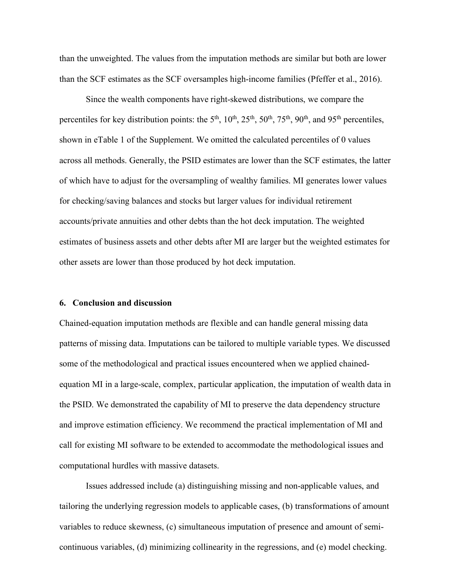than the unweighted. The values from the imputation methods are similar but both are lower than the SCF estimates as the SCF oversamples high-income families (Pfeffer et al., 2016).

Since the wealth components have right-skewed distributions, we compare the percentiles for key distribution points: the  $5<sup>th</sup>$ ,  $10<sup>th</sup>$ ,  $25<sup>th</sup>$ ,  $50<sup>th</sup>$ ,  $75<sup>th</sup>$ ,  $90<sup>th</sup>$ , and  $95<sup>th</sup>$  percentiles, shown in eTable 1 of the Supplement. We omitted the calculated percentiles of 0 values across all methods. Generally, the PSID estimates are lower than the SCF estimates, the latter of which have to adjust for the oversampling of wealthy families. MI generates lower values for checking/saving balances and stocks but larger values for individual retirement accounts/private annuities and other debts than the hot deck imputation. The weighted estimates of business assets and other debts after MI are larger but the weighted estimates for other assets are lower than those produced by hot deck imputation.

#### **6. Conclusion and discussion**

Chained-equation imputation methods are flexible and can handle general missing data patterns of missing data. Imputations can be tailored to multiple variable types. We discussed some of the methodological and practical issues encountered when we applied chainedequation MI in a large-scale, complex, particular application, the imputation of wealth data in the PSID. We demonstrated the capability of MI to preserve the data dependency structure and improve estimation efficiency. We recommend the practical implementation of MI and call for existing MI software to be extended to accommodate the methodological issues and computational hurdles with massive datasets.

Issues addressed include (a) distinguishing missing and non-applicable values, and tailoring the underlying regression models to applicable cases, (b) transformations of amount variables to reduce skewness, (c) simultaneous imputation of presence and amount of semicontinuous variables, (d) minimizing collinearity in the regressions, and (e) model checking.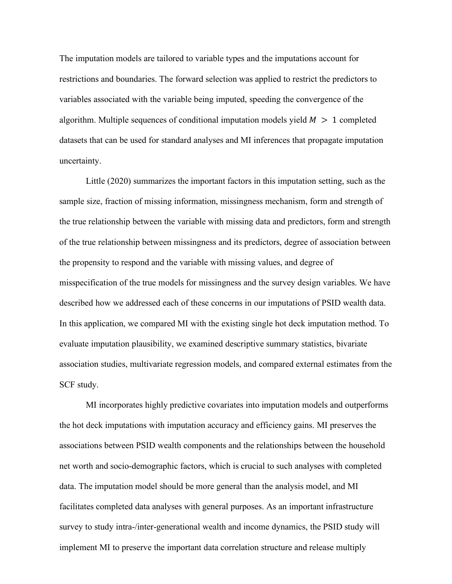The imputation models are tailored to variable types and the imputations account for restrictions and boundaries. The forward selection was applied to restrict the predictors to variables associated with the variable being imputed, speeding the convergence of the algorithm. Multiple sequences of conditional imputation models yield  $M > 1$  completed datasets that can be used for standard analyses and MI inferences that propagate imputation uncertainty.

Little (2020) summarizes the important factors in this imputation setting, such as the sample size, fraction of missing information, missingness mechanism, form and strength of the true relationship between the variable with missing data and predictors, form and strength of the true relationship between missingness and its predictors, degree of association between the propensity to respond and the variable with missing values, and degree of misspecification of the true models for missingness and the survey design variables. We have described how we addressed each of these concerns in our imputations of PSID wealth data. In this application, we compared MI with the existing single hot deck imputation method. To evaluate imputation plausibility, we examined descriptive summary statistics, bivariate association studies, multivariate regression models, and compared external estimates from the SCF study.

MI incorporates highly predictive covariates into imputation models and outperforms the hot deck imputations with imputation accuracy and efficiency gains. MI preserves the associations between PSID wealth components and the relationships between the household net worth and socio-demographic factors, which is crucial to such analyses with completed data. The imputation model should be more general than the analysis model, and MI facilitates completed data analyses with general purposes. As an important infrastructure survey to study intra-/inter-generational wealth and income dynamics, the PSID study will implement MI to preserve the important data correlation structure and release multiply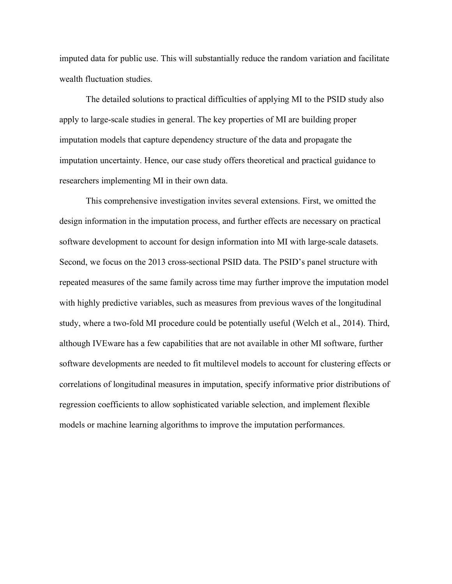imputed data for public use. This will substantially reduce the random variation and facilitate wealth fluctuation studies.

The detailed solutions to practical difficulties of applying MI to the PSID study also apply to large-scale studies in general. The key properties of MI are building proper imputation models that capture dependency structure of the data and propagate the imputation uncertainty. Hence, our case study offers theoretical and practical guidance to researchers implementing MI in their own data.

This comprehensive investigation invites several extensions. First, we omitted the design information in the imputation process, and further effects are necessary on practical software development to account for design information into MI with large-scale datasets. Second, we focus on the 2013 cross-sectional PSID data. The PSID's panel structure with repeated measures of the same family across time may further improve the imputation model with highly predictive variables, such as measures from previous waves of the longitudinal study, where a two-fold MI procedure could be potentially useful (Welch et al., 2014). Third, although IVEware has a few capabilities that are not available in other MI software, further software developments are needed to fit multilevel models to account for clustering effects or correlations of longitudinal measures in imputation, specify informative prior distributions of regression coefficients to allow sophisticated variable selection, and implement flexible models or machine learning algorithms to improve the imputation performances.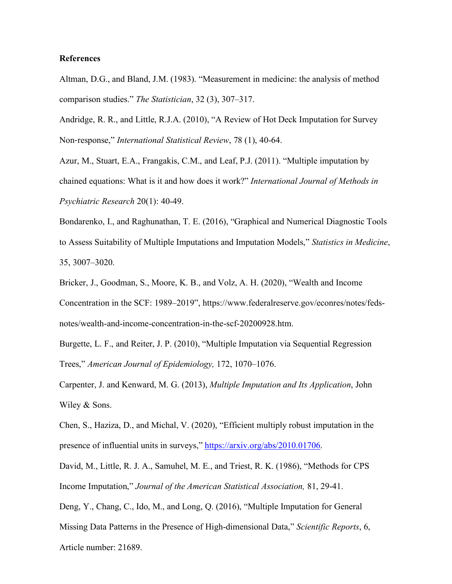## **References**

Altman, D.G., and Bland, J.M. (1983). "Measurement in medicine: the analysis of method comparison studies." *The Statistician*, 32 (3), 307–317.

Andridge, R. R., and Little, R.J.A. (2010), "A Review of Hot Deck Imputation for Survey Non-response," *International Statistical Review*, 78 (1), 40-64.

Azur, M., Stuart, E.A., Frangakis, C.M., and Leaf, P.J. (2011). "Multiple imputation by chained equations: What is it and how does it work?" *International Journal of Methods in Psychiatric Research* 20(1): 40-49.

Bondarenko, I., and Raghunathan, T. E. (2016), "Graphical and Numerical Diagnostic Tools to Assess Suitability of Multiple Imputations and Imputation Models," *Statistics in Medicine*, 35, 3007–3020.

Bricker, J., Goodman, S., Moore, K. B., and Volz, A. H. (2020), "Wealth and Income Concentration in the SCF: 1989–2019", https://www.federalreserve.gov/econres/notes/fedsnotes/wealth-and-income-concentration-in-the-scf-20200928.htm.

Burgette, L. F., and Reiter, J. P. (2010), "Multiple Imputation via Sequential Regression Trees," *American Journal of Epidemiology,* 172, 1070–1076.

Carpenter, J. and Kenward, M. G. (2013), *Multiple Imputation and Its Application*, John Wiley & Sons.

Chen, S., Haziza, D., and Michal, V. (2020), "Efficient multiply robust imputation in the presence of influential units in surveys," https://arxiv.org/abs/2010.01706.

David, M., Little, R. J. A., Samuhel, M. E., and Triest, R. K. (1986), "Methods for CPS Income Imputation," *Journal of the American Statistical Association,* 81, 29-41.

Deng, Y., Chang, C., Ido, M., and Long, Q. (2016), "Multiple Imputation for General Missing Data Patterns in the Presence of High-dimensional Data," *Scientific Reports*, 6,

Article number: 21689.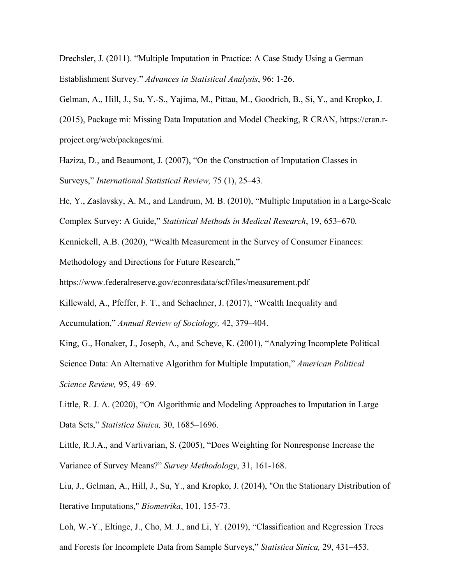Drechsler, J. (2011). "Multiple Imputation in Practice: A Case Study Using a German Establishment Survey." *Advances in Statistical Analysis*, 96: 1-26.

Gelman, A., Hill, J., Su, Y.-S., Yajima, M., Pittau, M., Goodrich, B., Si, Y., and Kropko, J.

(2015), Package mi: Missing Data Imputation and Model Checking, R CRAN, https://cran.rproject.org/web/packages/mi.

Haziza, D., and Beaumont, J. (2007), "On the Construction of Imputation Classes in Surveys," *International Statistical Review,* 75 (1), 25–43.

He, Y., Zaslavsky, A. M., and Landrum, M. B. (2010), "Multiple Imputation in a Large-Scale Complex Survey: A Guide," *Statistical Methods in Medical Research*, 19, 653–670.

Kennickell, A.B. (2020), "Wealth Measurement in the Survey of Consumer Finances:

Methodology and Directions for Future Research,"

https://www.federalreserve.gov/econresdata/scf/files/measurement.pdf

Killewald, A., Pfeffer, F. T., and Schachner, J. (2017), "Wealth Inequality and Accumulation," *Annual Review of Sociology,* 42, 379–404.

King, G., Honaker, J., Joseph, A., and Scheve, K. (2001), "Analyzing Incomplete Political Science Data: An Alternative Algorithm for Multiple Imputation," *American Political Science Review,* 95, 49–69.

Little, R. J. A. (2020), "On Algorithmic and Modeling Approaches to Imputation in Large Data Sets," *Statistica Sinica,* 30, 1685–1696.

Little, R.J.A., and Vartivarian, S. (2005), "Does Weighting for Nonresponse Increase the Variance of Survey Means?" *Survey Methodology*, 31, 161-168.

Liu, J., Gelman, A., Hill, J., Su, Y., and Kropko, J. (2014), "On the Stationary Distribution of Iterative Imputations," *Biometrika*, 101, 155-73.

Loh, W.-Y., Eltinge, J., Cho, M. J., and Li, Y. (2019), "Classification and Regression Trees and Forests for Incomplete Data from Sample Surveys," *Statistica Sinica,* 29, 431–453.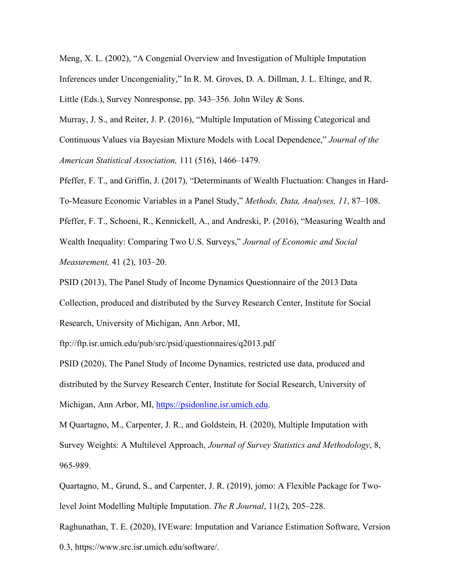Meng, X. L. (2002), "A Congenial Overview and Investigation of Multiple Imputation Inferences under Uncongeniality," In R. M. Groves, D. A. Dillman, J. L. Eltinge, and R. Little (Eds.), Survey Nonresponse, pp. 343–356. John Wiley & Sons.

Murray, J. S., and Reiter, J. P. (2016), "Multiple Imputation of Missing Categorical and Continuous Values via Bayesian Mixture Models with Local Dependence," *Journal of the American Statistical Association,* 111 (516), 1466–1479.

Pfeffer, F. T., and Griffin, J. (2017), "Determinants of Wealth Fluctuation: Changes in Hard-To-Measure Economic Variables in a Panel Study," *Methods, Data, Analyses, 11*, 87–108. Pfeffer, F. T., Schoeni, R., Kennickell, A., and Andreski, P. (2016), "Measuring Wealth and Wealth Inequality: Comparing Two U.S. Surveys," *Journal of Economic and Social Measurement,* 41 (2), 103–20.

PSID (2013), The Panel Study of Income Dynamics Questionnaire of the 2013 Data Collection, produced and distributed by the Survey Research Center, Institute for Social Research, University of Michigan, Ann Arbor, MI,

ftp://ftp.isr.umich.edu/pub/src/psid/questionnaires/q2013.pdf

PSID (2020), The Panel Study of Income Dynamics, restricted use data, produced and distributed by the Survey Research Center, Institute for Social Research, University of Michigan, Ann Arbor, MI, https://psidonline.isr.umich.edu.

M Quartagno, M., Carpenter, J. R., and Goldstein, H. (2020), Multiple Imputation with Survey Weights: A Multilevel Approach, *Journal of Survey Statistics and Methodology*, 8, 965-989.

Quartagno, M., Grund, S., and Carpenter, J. R. (2019), jomo: A Flexible Package for Twolevel Joint Modelling Multiple Imputation. *The R Journal*, 11(2), 205–228.

Raghunathan, T. E. (2020), IVEware: Imputation and Variance Estimation Software, Version 0.3, https://www.src.isr.umich.edu/software/.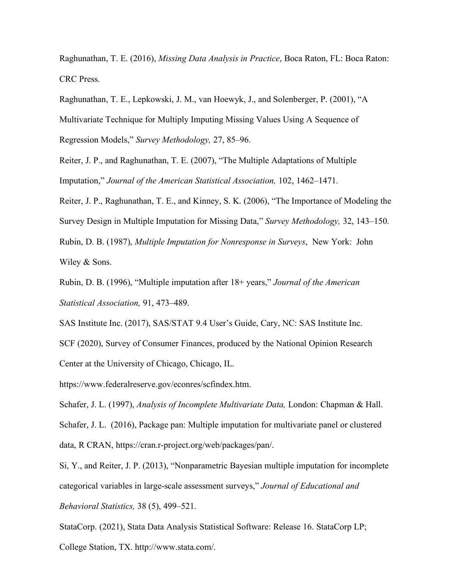Raghunathan, T. E. (2016), *Missing Data Analysis in Practice*, Boca Raton, FL: Boca Raton: CRC Press.

Raghunathan, T. E., Lepkowski, J. M., van Hoewyk, J., and Solenberger, P. (2001), "A

Multivariate Technique for Multiply Imputing Missing Values Using A Sequence of

Regression Models," *Survey Methodology,* 27, 85–96.

Reiter, J. P., and Raghunathan, T. E. (2007), "The Multiple Adaptations of Multiple Imputation," *Journal of the American Statistical Association,* 102, 1462–1471.

Reiter, J. P., Raghunathan, T. E., and Kinney, S. K. (2006), "The Importance of Modeling the Survey Design in Multiple Imputation for Missing Data," *Survey Methodology,* 32, 143–150. Rubin, D. B. (1987), *Multiple Imputation for Nonresponse in Surveys*, New York: John

Wiley & Sons.

Rubin, D. B. (1996), "Multiple imputation after 18+ years," *Journal of the American Statistical Association,* 91, 473–489.

SAS Institute Inc. (2017), SAS/STAT 9.4 User's Guide, Cary, NC: SAS Institute Inc.

SCF (2020), Survey of Consumer Finances, produced by the National Opinion Research Center at the University of Chicago, Chicago, IL.

https://www.federalreserve.gov/econres/scfindex.htm.

Schafer, J. L. (1997), *Analysis of Incomplete Multivariate Data,* London: Chapman & Hall. Schafer, J. L. (2016), Package pan: Multiple imputation for multivariate panel or clustered data, R CRAN, https://cran.r-project.org/web/packages/pan/.

Si, Y., and Reiter, J. P. (2013), "Nonparametric Bayesian multiple imputation for incomplete categorical variables in large-scale assessment surveys," *Journal of Educational and Behavioral Statistics,* 38 (5), 499–521.

StataCorp. (2021), Stata Data Analysis Statistical Software: Release 16. StataCorp LP; College Station, TX. http://www.stata.com/.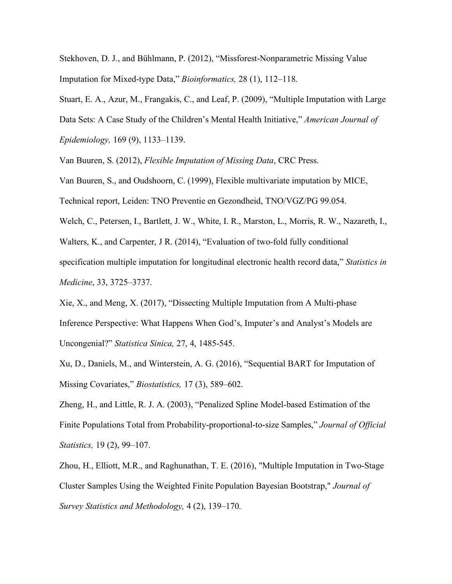Stekhoven, D. J., and Bühlmann, P. (2012), "Missforest-Nonparametric Missing Value Imputation for Mixed-type Data," *Bioinformatics,* 28 (1), 112–118.

Stuart, E. A., Azur, M., Frangakis, C., and Leaf, P. (2009), "Multiple Imputation with Large Data Sets: A Case Study of the Children's Mental Health Initiative," *American Journal of Epidemiology,* 169 (9), 1133–1139.

Van Buuren, S. (2012), *Flexible Imputation of Missing Data*, CRC Press.

Van Buuren, S., and Oudshoorn, C. (1999), Flexible multivariate imputation by MICE,

Technical report, Leiden: TNO Preventie en Gezondheid, TNO/VGZ/PG 99.054.

Welch, C., Petersen, I., Bartlett, J. W., White, I. R., Marston, L., Morris, R. W., Nazareth, I., Walters, K., and Carpenter, J R. (2014), "Evaluation of two-fold fully conditional specification multiple imputation for longitudinal electronic health record data," *Statistics in* 

*Medicine*, 33, 3725–3737.

Xie, X., and Meng, X. (2017), "Dissecting Multiple Imputation from A Multi-phase Inference Perspective: What Happens When God's, Imputer's and Analyst's Models are Uncongenial?" *Statistica Sinica,* 27, 4, 1485-545.

Xu, D., Daniels, M., and Winterstein, A. G. (2016), "Sequential BART for Imputation of Missing Covariates," *Biostatistics,* 17 (3), 589–602.

Zheng, H., and Little, R. J. A. (2003), "Penalized Spline Model-based Estimation of the Finite Populations Total from Probability-proportional-to-size Samples," *Journal of Official Statistics,* 19 (2), 99–107.

Zhou, H., Elliott, M.R., and Raghunathan, T. E. (2016), "Multiple Imputation in Two-Stage Cluster Samples Using the Weighted Finite Population Bayesian Bootstrap," *Journal of Survey Statistics and Methodology,* 4 (2), 139–170.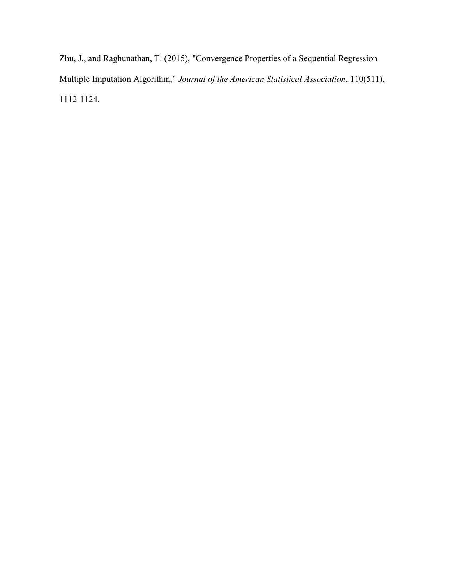Zhu, J., and Raghunathan, T. (2015), "Convergence Properties of a Sequential Regression Multiple Imputation Algorithm," *Journal of the American Statistical Association*, 110(511), 1112-1124.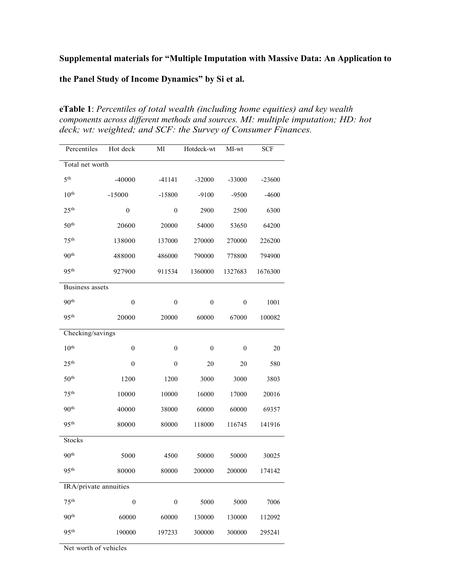# **Supplemental materials for "Multiple Imputation with Massive Data: An Application to**

**the Panel Study of Income Dynamics" by Si et al.**

**eTable 1**: *Percentiles of total wealth (including home equities) and key wealth components across different methods and sources. MI: multiple imputation; HD: hot deck; wt: weighted; and SCF: the Survey of Consumer Finances.*

| Percentiles           | Hot deck         | MI               | Hotdeck-wt       | MI-wt            | <b>SCF</b> |
|-----------------------|------------------|------------------|------------------|------------------|------------|
| Total net worth       |                  |                  |                  |                  |            |
| 5 <sup>th</sup>       | $-40000$         | $-41141$         | $-32000$         | -33000           | $-23600$   |
| 10 <sup>th</sup>      | $-15000$         | $-15800$         | $-9100$          | $-9500$          | $-4600$    |
| 25 <sup>th</sup>      | $\boldsymbol{0}$ | $\boldsymbol{0}$ | 2900             | 2500             | 6300       |
| 50 <sup>th</sup>      | 20600            | 20000            | 54000            | 53650            | 64200      |
| 75 <sup>th</sup>      | 138000           | 137000           | 270000           | 270000           | 226200     |
| 90 <sup>th</sup>      | 488000           | 486000           | 790000           | 778800           | 794900     |
| 95 <sup>th</sup>      | 927900           | 911534           | 1360000          | 1327683          | 1676300    |
| Business assets       |                  |                  |                  |                  |            |
| 90 <sup>th</sup>      | $\boldsymbol{0}$ | $\boldsymbol{0}$ | $\boldsymbol{0}$ | $\boldsymbol{0}$ | 1001       |
| 95 <sup>th</sup>      | 20000            | 20000            | 60000            | 67000            | 100082     |
| Checking/savings      |                  |                  |                  |                  |            |
| 10 <sup>th</sup>      | $\boldsymbol{0}$ | $\boldsymbol{0}$ | $\boldsymbol{0}$ | $\boldsymbol{0}$ | 20         |
| 25 <sup>th</sup>      | $\boldsymbol{0}$ | $\boldsymbol{0}$ | 20               | 20               | 580        |
| 50 <sup>th</sup>      | 1200             | 1200             | 3000             | 3000             | 3803       |
| 75 <sup>th</sup>      | 10000            | 10000            | 16000            | 17000            | 20016      |
| 90 <sup>th</sup>      | 40000            | 38000            | 60000            | 60000            | 69357      |
| 95 <sup>th</sup>      | 80000            | 80000            | 118000           | 116745           | 141916     |
| <b>Stocks</b>         |                  |                  |                  |                  |            |
| 90 <sup>th</sup>      | 5000             | 4500             | 50000            | 50000            | 30025      |
| 95 <sup>th</sup>      | 80000            | 80000            | 200000           | 200000           | 174142     |
| IRA/private annuities |                  |                  |                  |                  |            |
| 75 <sup>th</sup>      | $\boldsymbol{0}$ | $\boldsymbol{0}$ | 5000             | 5000             | 7006       |
| 90 <sup>th</sup>      | 60000            | 60000            | 130000           | 130000           | 112092     |
| 95 <sup>th</sup>      | 190000           | 197233           | 300000           | 300000           | 295241     |

Net worth of vehicles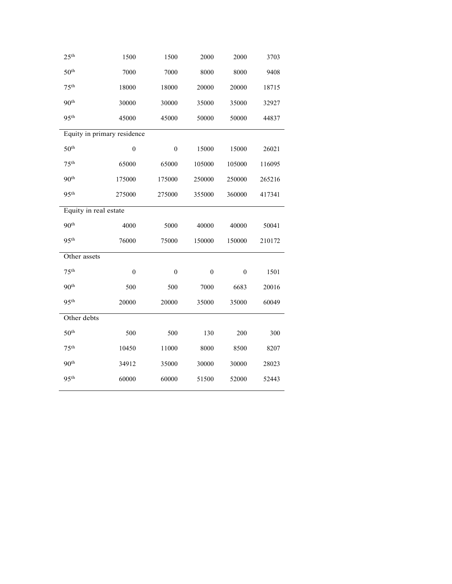| 25 <sup>th</sup>      | 1500                        | 1500             | 2000             | 2000             | 3703   |
|-----------------------|-----------------------------|------------------|------------------|------------------|--------|
| 50 <sup>th</sup>      | 7000                        | 7000             | 8000             | 8000             | 9408   |
| 75 <sup>th</sup>      | 18000                       | 18000            | 20000            | 20000            | 18715  |
| 90 <sup>th</sup>      | 30000                       | 30000            | 35000            | 35000            | 32927  |
| 95 <sup>th</sup>      | 45000                       | 45000            | 50000            | 50000            | 44837  |
|                       | Equity in primary residence |                  |                  |                  |        |
| 50 <sup>th</sup>      | $\boldsymbol{0}$            | $\boldsymbol{0}$ | 15000            | 15000            | 26021  |
| 75 <sup>th</sup>      | 65000                       | 65000            | 105000           | 105000           | 116095 |
| 90 <sup>th</sup>      | 175000                      | 175000           | 250000           | 250000           | 265216 |
| 95 <sup>th</sup>      | 275000                      | 275000           | 355000           | 360000           | 417341 |
| Equity in real estate |                             |                  |                  |                  |        |
| 90 <sup>th</sup>      | 4000                        | 5000             | 40000            | 40000            | 50041  |
| 95 <sup>th</sup>      | 76000                       | 75000            | 150000           | 150000           | 210172 |
| Other assets          |                             |                  |                  |                  |        |
| 75 <sup>th</sup>      | $\boldsymbol{0}$            | $\boldsymbol{0}$ | $\boldsymbol{0}$ | $\boldsymbol{0}$ | 1501   |
| 90 <sup>th</sup>      | 500                         | 500              | 7000             | 6683             | 20016  |
| 95 <sup>th</sup>      | 20000                       | 20000            | 35000            | 35000            | 60049  |
| Other debts           |                             |                  |                  |                  |        |
| 50 <sup>th</sup>      | 500                         | 500              | 130              | 200              | 300    |
| 75 <sup>th</sup>      | 10450                       | 11000            | 8000             | 8500             | 8207   |
| 90 <sup>th</sup>      | 34912                       | 35000            | 30000            | 30000            | 28023  |
| 95 <sup>th</sup>      | 60000                       | 60000            | 51500            | 52000            | 52443  |